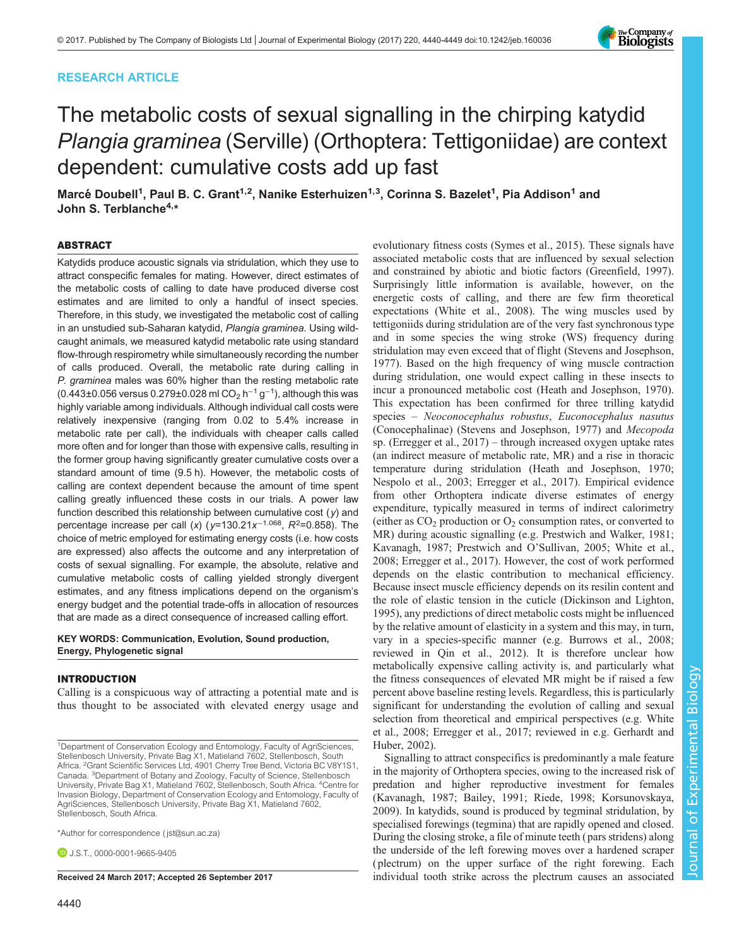# RESEARCH ARTICLE



# The metabolic costs of sexual signalling in the chirping katydid Plangia graminea (Serville) (Orthoptera: Tettigoniidae) are context dependent: cumulative costs add up fast

Marcé Doubell<sup>1</sup>, Paul B. C. Grant<sup>1,2</sup>, Nanike Esterhuizen<sup>1,3</sup>, Corinna S. Bazelet<sup>1</sup>, Pia Addison<sup>1</sup> and John S. Terblanche<sup>4,\*</sup>

# ABSTRACT

Katydids produce acoustic signals via stridulation, which they use to attract conspecific females for mating. However, direct estimates of the metabolic costs of calling to date have produced diverse cost estimates and are limited to only a handful of insect species. Therefore, in this study, we investigated the metabolic cost of calling in an unstudied sub-Saharan katydid, Plangia graminea. Using wildcaught animals, we measured katydid metabolic rate using standard flow-through respirometry while simultaneously recording the number of calls produced. Overall, the metabolic rate during calling in P. graminea males was 60% higher than the resting metabolic rate (0.443±0.056 versus 0.279±0.028 ml CO<sub>2</sub> h<sup>-1</sup> g<sup>-1</sup>), although this was highly variable among individuals. Although individual call costs were relatively inexpensive (ranging from 0.02 to 5.4% increase in metabolic rate per call), the individuals with cheaper calls called more often and for longer than those with expensive calls, resulting in the former group having significantly greater cumulative costs over a standard amount of time (9.5 h). However, the metabolic costs of calling are context dependent because the amount of time spent calling greatly influenced these costs in our trials. A power law function described this relationship between cumulative cost  $(y)$  and percentage increase per call (x) ( $y=130.21x^{-1.068}$ ,  $R^2=0.858$ ). The choice of metric employed for estimating energy costs (i.e. how costs are expressed) also affects the outcome and any interpretation of costs of sexual signalling. For example, the absolute, relative and cumulative metabolic costs of calling yielded strongly divergent estimates, and any fitness implications depend on the organism's energy budget and the potential trade-offs in allocation of resources that are made as a direct consequence of increased calling effort.

#### KEY WORDS: Communication, Evolution, Sound production, Energy, Phylogenetic signal

# INTRODUCTION

Calling is a conspicuous way of attracting a potential mate and is thus thought to be associated with elevated energy usage and

\*Author for correspondence [\( jst@sun.ac.za\)](mailto:jst@sun.ac.za)

**D.**J.S.T., [0000-0001-9665-9405](http://orcid.org/0000-0001-9665-9405)

evolutionary fitness costs ([Symes et al., 2015](#page-9-0)). These signals have associated metabolic costs that are influenced by sexual selection and constrained by abiotic and biotic factors [\(Greenfield, 1997\)](#page-8-0). Surprisingly little information is available, however, on the energetic costs of calling, and there are few firm theoretical expectations ([White et al., 2008](#page-9-0)). The wing muscles used by tettigoniids during stridulation are of the very fast synchronous type and in some species the wing stroke (WS) frequency during stridulation may even exceed that of flight [\(Stevens and Josephson,](#page-9-0) [1977\)](#page-9-0). Based on the high frequency of wing muscle contraction during stridulation, one would expect calling in these insects to incur a pronounced metabolic cost [\(Heath and Josephson, 1970\)](#page-8-0). This expectation has been confirmed for three trilling katydid species – Neoconocephalus robustus, Euconocephalus nasutus (Conocephalinae) ([Stevens and Josephson, 1977\)](#page-9-0) and Mecopoda sp. [\(Erregger et al., 2017\)](#page-8-0) – through increased oxygen uptake rates (an indirect measure of metabolic rate, MR) and a rise in thoracic temperature during stridulation ([Heath and Josephson, 1970](#page-8-0); [Nespolo et al., 2003](#page-9-0); [Erregger et al., 2017](#page-8-0)). Empirical evidence from other Orthoptera indicate diverse estimates of energy expenditure, typically measured in terms of indirect calorimetry (either as  $CO<sub>2</sub>$  production or  $O<sub>2</sub>$  consumption rates, or converted to MR) during acoustic signalling (e.g. [Prestwich and Walker, 1981](#page-9-0); [Kavanagh, 1987; Prestwich and O](#page-9-0)'Sullivan, 2005; [White et al.,](#page-9-0) [2008;](#page-9-0) [Erregger et al., 2017\)](#page-8-0). However, the cost of work performed depends on the elastic contribution to mechanical efficiency. Because insect muscle efficiency depends on its resilin content and the role of elastic tension in the cuticle [\(Dickinson and Lighton,](#page-8-0) [1995\)](#page-8-0), any predictions of direct metabolic costs might be influenced by the relative amount of elasticity in a system and this may, in turn, vary in a species-specific manner (e.g. [Burrows et al., 2008](#page-8-0); reviewed in [Qin et al., 2012](#page-9-0)). It is therefore unclear how metabolically expensive calling activity is, and particularly what the fitness consequences of elevated MR might be if raised a few percent above baseline resting levels. Regardless, this is particularly significant for understanding the evolution of calling and sexual selection from theoretical and empirical perspectives (e.g. [White](#page-9-0) [et al., 2008](#page-9-0); [Erregger et al., 2017](#page-8-0); reviewed in e.g. [Gerhardt and](#page-8-0) [Huber, 2002\)](#page-8-0).

Signalling to attract conspecifics is predominantly a male feature in the majority of Orthoptera species, owing to the increased risk of predation and higher reproductive investment for females [\(Kavanagh, 1987;](#page-9-0) [Bailey, 1991;](#page-8-0) [Riede, 1998](#page-9-0); [Korsunovskaya,](#page-9-0) [2009\)](#page-9-0). In katydids, sound is produced by tegminal stridulation, by specialised forewings (tegmina) that are rapidly opened and closed. During the closing stroke, a file of minute teeth ( pars stridens) along the underside of the left forewing moves over a hardened scraper ( plectrum) on the upper surface of the right forewing. Each Received 24 March 2017; Accepted 26 September 2017 individual tooth strike across the plectrum causes an associated

<sup>&</sup>lt;sup>1</sup>Department of Conservation Ecology and Entomology, Faculty of AgriSciences, Stellenbosch University, Private Bag X1, Matieland 7602, Stellenbosch, South Africa. <sup>2</sup>Grant Scientific Services Ltd, 4901 Cherry Tree Bend, Victoria BC V8Y1S1, Canada. <sup>3</sup>Department of Botany and Zoology, Faculty of Science, Stellenbosch University, Private Bag X1, Matieland 7602, Stellenbosch, South Africa. <sup>4</sup>Centre for Invasion Biology, Department of Conservation Ecology and Entomology, Faculty of AgriSciences, Stellenbosch University, Private Bag X1, Matieland 7602, Stellenbosch, South Africa.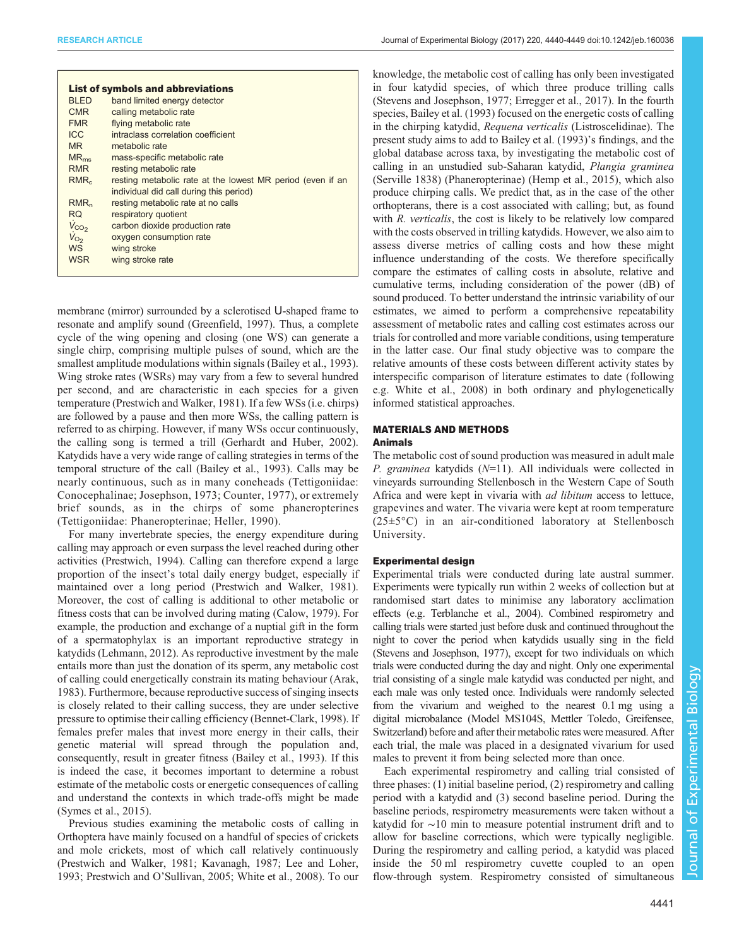|                  | <b>List of symbols and abbreviations</b>                   |
|------------------|------------------------------------------------------------|
| <b>BLED</b>      | band limited energy detector                               |
| <b>CMR</b>       | calling metabolic rate                                     |
| <b>FMR</b>       | flying metabolic rate                                      |
| <b>ICC</b>       | intraclass correlation coefficient                         |
| <b>MR</b>        | metabolic rate                                             |
| $MR_{me}$        | mass-specific metabolic rate                               |
| <b>RMR</b>       | resting metabolic rate                                     |
| RMR <sub>c</sub> | resting metabolic rate at the lowest MR period (even if an |
|                  | individual did call during this period)                    |
| RMR <sub>n</sub> | resting metabolic rate at no calls                         |
| RQ.              | respiratory quotient                                       |
| $V_{CO2}$        | carbon dioxide production rate                             |
| $V_{O_2}$        | oxygen consumption rate                                    |
| <b>WS</b>        | wing stroke                                                |
| <b>WSR</b>       | wing stroke rate                                           |
|                  |                                                            |

membrane (mirror) surrounded by a sclerotised U-shaped frame to resonate and amplify sound [\(Greenfield, 1997](#page-8-0)). Thus, a complete cycle of the wing opening and closing (one WS) can generate a single chirp, comprising multiple pulses of sound, which are the smallest amplitude modulations within signals ([Bailey et al., 1993\)](#page-8-0). Wing stroke rates (WSRs) may vary from a few to several hundred per second, and are characteristic in each species for a given temperature [\(Prestwich and Walker, 1981](#page-9-0)). If a few WSs (i.e. chirps) are followed by a pause and then more WSs, the calling pattern is referred to as chirping. However, if many WSs occur continuously, the calling song is termed a trill [\(Gerhardt and Huber, 2002\)](#page-8-0). Katydids have a very wide range of calling strategies in terms of the temporal structure of the call [\(Bailey et al., 1993\)](#page-8-0). Calls may be nearly continuous, such as in many coneheads (Tettigoniidae: Conocephalinae; [Josephson, 1973](#page-9-0); [Counter, 1977](#page-8-0)), or extremely brief sounds, as in the chirps of some phaneropterines (Tettigoniidae: Phaneropterinae; [Heller, 1990](#page-8-0)).

For many invertebrate species, the energy expenditure during calling may approach or even surpass the level reached during other activities [\(Prestwich, 1994\)](#page-9-0). Calling can therefore expend a large proportion of the insect's total daily energy budget, especially if maintained over a long period [\(Prestwich and Walker, 1981\)](#page-9-0). Moreover, the cost of calling is additional to other metabolic or fitness costs that can be involved during mating [\(Calow, 1979](#page-8-0)). For example, the production and exchange of a nuptial gift in the form of a spermatophylax is an important reproductive strategy in katydids ([Lehmann, 2012](#page-9-0)). As reproductive investment by the male entails more than just the donation of its sperm, any metabolic cost of calling could energetically constrain its mating behaviour ([Arak,](#page-8-0) [1983](#page-8-0)). Furthermore, because reproductive success of singing insects is closely related to their calling success, they are under selective pressure to optimise their calling efficiency ([Bennet-Clark, 1998\)](#page-8-0). If females prefer males that invest more energy in their calls, their genetic material will spread through the population and, consequently, result in greater fitness [\(Bailey et al., 1993](#page-8-0)). If this is indeed the case, it becomes important to determine a robust estimate of the metabolic costs or energetic consequences of calling and understand the contexts in which trade-offs might be made [\(Symes et al., 2015](#page-9-0)).

Previous studies examining the metabolic costs of calling in Orthoptera have mainly focused on a handful of species of crickets and mole crickets, most of which call relatively continuously [\(Prestwich and Walker, 1981](#page-9-0); [Kavanagh, 1987](#page-9-0); [Lee and Loher,](#page-9-0) [1993](#page-9-0); [Prestwich and O](#page-9-0)'Sullivan, 2005; [White et al., 2008](#page-9-0)). To our

knowledge, the metabolic cost of calling has only been investigated in four katydid species, of which three produce trilling calls [\(Stevens and Josephson, 1977;](#page-9-0) [Erregger et al., 2017\)](#page-8-0). In the fourth species, [Bailey et al. \(1993\)](#page-8-0) focused on the energetic costs of calling in the chirping katydid, Requena verticalis (Listroscelidinae). The present study aims to add to [Bailey et al. \(1993\)](#page-8-0)'s findings, and the global database across taxa, by investigating the metabolic cost of calling in an unstudied sub-Saharan katydid, Plangia graminea (Serville 1838) (Phaneropterinae) [\(Hemp et al., 2015](#page-8-0)), which also produce chirping calls. We predict that, as in the case of the other orthopterans, there is a cost associated with calling; but, as found with R. verticalis, the cost is likely to be relatively low compared with the costs observed in trilling katydids. However, we also aim to assess diverse metrics of calling costs and how these might influence understanding of the costs. We therefore specifically compare the estimates of calling costs in absolute, relative and cumulative terms, including consideration of the power (dB) of sound produced. To better understand the intrinsic variability of our estimates, we aimed to perform a comprehensive repeatability assessment of metabolic rates and calling cost estimates across our trials for controlled and more variable conditions, using temperature in the latter case. Our final study objective was to compare the relative amounts of these costs between different activity states by interspecific comparison of literature estimates to date (following e.g. [White et al., 2008\)](#page-9-0) in both ordinary and phylogenetically informed statistical approaches.

# MATERIALS AND METHODS

# Animals

The metabolic cost of sound production was measured in adult male P. graminea katydids  $(N=11)$ . All individuals were collected in vineyards surrounding Stellenbosch in the Western Cape of South Africa and were kept in vivaria with ad libitum access to lettuce, grapevines and water. The vivaria were kept at room temperature (25±5°C) in an air-conditioned laboratory at Stellenbosch University.

# Experimental design

Experimental trials were conducted during late austral summer. Experiments were typically run within 2 weeks of collection but at randomised start dates to minimise any laboratory acclimation effects (e.g. [Terblanche et al.,](#page-9-0) 2004). Combined respirometry and calling trials were started just before dusk and continued throughout the night to cover the period when katydids usually sing in the field [\(Stevens and Josephson, 1977](#page-9-0)), except for two individuals on which trials were conducted during the day and night. Only one experimental trial consisting of a single male katydid was conducted per night, and each male was only tested once. Individuals were randomly selected from the vivarium and weighed to the nearest 0.1 mg using a digital microbalance (Model MS104S, Mettler Toledo, Greifensee, Switzerland) before and after their metabolic rates were measured. After each trial, the male was placed in a designated vivarium for used males to prevent it from being selected more than once.

Each experimental respirometry and calling trial consisted of three phases: (1) initial baseline period, (2) respirometry and calling period with a katydid and (3) second baseline period. During the baseline periods, respirometry measurements were taken without a katydid for ∼10 min to measure potential instrument drift and to allow for baseline corrections, which were typically negligible. During the respirometry and calling period, a katydid was placed inside the 50 ml respirometry cuvette coupled to an open flow-through system. Respirometry consisted of simultaneous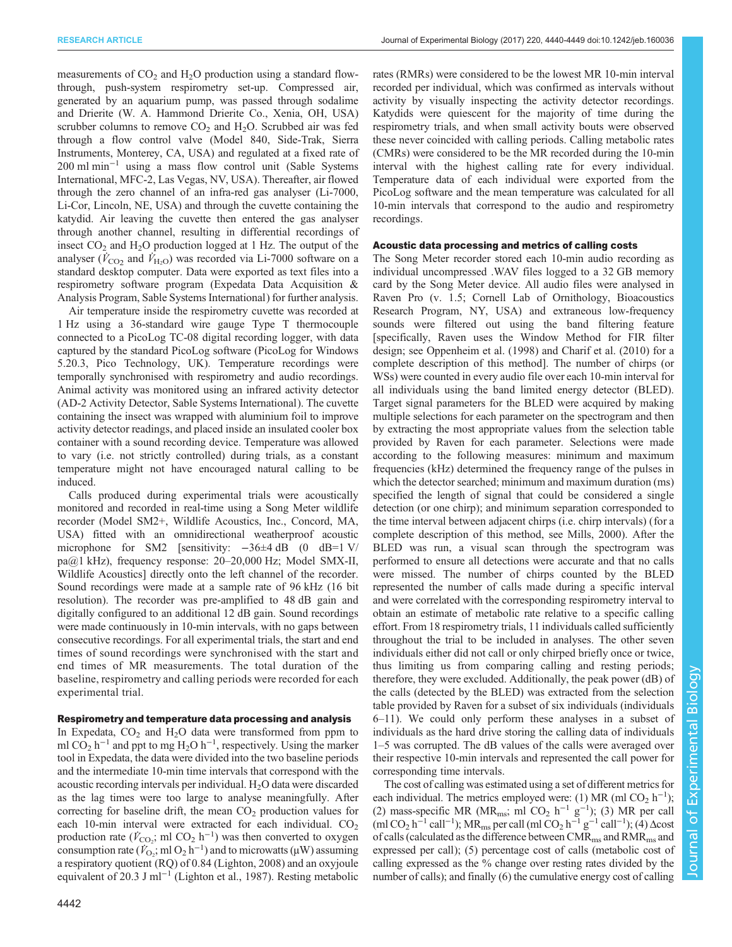measurements of  $CO<sub>2</sub>$  and  $H<sub>2</sub>O$  production using a standard flowthrough, push-system respirometry set-up. Compressed air, generated by an aquarium pump, was passed through sodalime and Drierite (W. A. Hammond Drierite Co., Xenia, OH, USA) scrubber columns to remove  $CO<sub>2</sub>$  and  $H<sub>2</sub>O$ . Scrubbed air was fed through a flow control valve (Model 840, Side-Trak, Sierra Instruments, Monterey, CA, USA) and regulated at a fixed rate of 200 ml min−<sup>1</sup> using a mass flow control unit (Sable Systems International, MFC-2, Las Vegas, NV, USA). Thereafter, air flowed through the zero channel of an infra-red gas analyser (Li-7000, Li-Cor, Lincoln, NE, USA) and through the cuvette containing the katydid. Air leaving the cuvette then entered the gas analyser through another channel, resulting in differential recordings of insect  $CO<sub>2</sub>$  and  $H<sub>2</sub>O$  production logged at 1 Hz. The output of the analyser  $(\dot{V}_{\text{CO}_2}$  and  $\dot{V}_{\text{H}_2\text{O}})$  was recorded via Li-7000 software on a standard desktop computer. Data were exported as text files into a respirometry software program (Expedata Data Acquisition & Analysis Program, Sable Systems International) for further analysis.

Air temperature inside the respirometry cuvette was recorded at 1 Hz using a 36-standard wire gauge Type T thermocouple connected to a PicoLog TC-08 digital recording logger, with data captured by the standard PicoLog software (PicoLog for Windows 5.20.3, Pico Technology, UK). Temperature recordings were temporally synchronised with respirometry and audio recordings. Animal activity was monitored using an infrared activity detector (AD-2 Activity Detector, Sable Systems International). The cuvette containing the insect was wrapped with aluminium foil to improve activity detector readings, and placed inside an insulated cooler box container with a sound recording device. Temperature was allowed to vary (i.e. not strictly controlled) during trials, as a constant temperature might not have encouraged natural calling to be induced.

Calls produced during experimental trials were acoustically monitored and recorded in real-time using a Song Meter wildlife recorder (Model SM2+, Wildlife Acoustics, Inc., Concord, MA, USA) fitted with an omnidirectional weatherproof acoustic microphone for SM2 [sensitivity:  $-36\pm 4$  dB (0 dB=1 V/ pa@1 kHz), frequency response: 20–20,000 Hz; Model SMX-II, Wildlife Acoustics] directly onto the left channel of the recorder. Sound recordings were made at a sample rate of 96 kHz (16 bit resolution). The recorder was pre-amplified to 48 dB gain and digitally configured to an additional 12 dB gain. Sound recordings were made continuously in 10-min intervals, with no gaps between consecutive recordings. For all experimental trials, the start and end times of sound recordings were synchronised with the start and end times of MR measurements. The total duration of the baseline, respirometry and calling periods were recorded for each experimental trial.

#### Respirometry and temperature data processing and analysis

In Expedata,  $CO<sub>2</sub>$  and  $H<sub>2</sub>O$  data were transformed from ppm to ml CO<sub>2</sub> h<sup>-1</sup> and ppt to mg H<sub>2</sub>O h<sup>-1</sup>, respectively. Using the marker tool in Expedata, the data were divided into the two baseline periods and the intermediate 10-min time intervals that correspond with the acoustic recording intervals per individual.  $H_2O$  data were discarded as the lag times were too large to analyse meaningfully. After correcting for baseline drift, the mean  $CO<sub>2</sub>$  production values for each 10-min interval were extracted for each individual.  $CO<sub>2</sub>$ production rate ( $\vec{V}_{\text{CO}_2}$ ; ml CO<sub>2</sub> h<sup>-1</sup>) was then converted to oxygen consumption rate  $(\check{V}_{\text{O}_2}; \text{mI O}_2 \text{h}^{-1})$  and to microwatts (µW) assuming a respiratory quotient (RQ) of 0.84 [\(Lighton, 2008](#page-9-0)) and an oxyjoule equivalent of 20.3 J ml<sup>-1</sup> [\(Lighton et al., 1987\)](#page-9-0). Resting metabolic

rates (RMRs) were considered to be the lowest MR 10-min interval recorded per individual, which was confirmed as intervals without activity by visually inspecting the activity detector recordings. Katydids were quiescent for the majority of time during the respirometry trials, and when small activity bouts were observed these never coincided with calling periods. Calling metabolic rates (CMRs) were considered to be the MR recorded during the 10-min interval with the highest calling rate for every individual. Temperature data of each individual were exported from the PicoLog software and the mean temperature was calculated for all 10-min intervals that correspond to the audio and respirometry recordings.

## Acoustic data processing and metrics of calling costs

The Song Meter recorder stored each 10-min audio recording as individual uncompressed .WAV files logged to a 32 GB memory card by the Song Meter device. All audio files were analysed in Raven Pro (v. 1.5; Cornell Lab of Ornithology, Bioacoustics Research Program, NY, USA) and extraneous low-frequency sounds were filtered out using the band filtering feature [specifically, Raven uses the Window Method for FIR filter design; see [Oppenheim et al. \(1998\)](#page-9-0) and [Charif et al. \(2010\)](#page-8-0) for a complete description of this method]. The number of chirps (or WSs) were counted in every audio file over each 10-min interval for all individuals using the band limited energy detector (BLED). Target signal parameters for the BLED were acquired by making multiple selections for each parameter on the spectrogram and then by extracting the most appropriate values from the selection table provided by Raven for each parameter. Selections were made according to the following measures: minimum and maximum frequencies (kHz) determined the frequency range of the pulses in which the detector searched; minimum and maximum duration (ms) specified the length of signal that could be considered a single detection (or one chirp); and minimum separation corresponded to the time interval between adjacent chirps (i.e. chirp intervals) (for a complete description of this method, see [Mills, 2000\)](#page-9-0). After the BLED was run, a visual scan through the spectrogram was performed to ensure all detections were accurate and that no calls were missed. The number of chirps counted by the BLED represented the number of calls made during a specific interval and were correlated with the corresponding respirometry interval to obtain an estimate of metabolic rate relative to a specific calling effort. From 18 respirometry trials, 11 individuals called sufficiently throughout the trial to be included in analyses. The other seven individuals either did not call or only chirped briefly once or twice, thus limiting us from comparing calling and resting periods; therefore, they were excluded. Additionally, the peak power (dB) of the calls (detected by the BLED) was extracted from the selection table provided by Raven for a subset of six individuals (individuals 6–11). We could only perform these analyses in a subset of individuals as the hard drive storing the calling data of individuals 1–5 was corrupted. The dB values of the calls were averaged over their respective 10-min intervals and represented the call power for corresponding time intervals.

The cost of calling was estimated using a set of different metrics for each individual. The metrics employed were: (1) MR (ml  $CO<sub>2</sub> h<sup>-1</sup>$ ); (2) mass-specific MR (MR<sub>ms</sub>; ml CO<sub>2</sub> h<sup>-1</sup> g<sup>-1</sup>); (3) MR per call (ml CO<sub>2</sub> h<sup>-1</sup> call<sup>-1</sup>); MR<sub>ms</sub> per call (ml CO<sub>2</sub> h<sup>-1</sup> g<sup>-1</sup> call<sup>-1</sup>); (4) ∆cost of calls (calculated as the difference between CMR<sub>ms</sub> and RMR<sub>ms</sub> and expressed per call); (5) percentage cost of calls (metabolic cost of calling expressed as the % change over resting rates divided by the number of calls); and finally (6) the cumulative energy cost of calling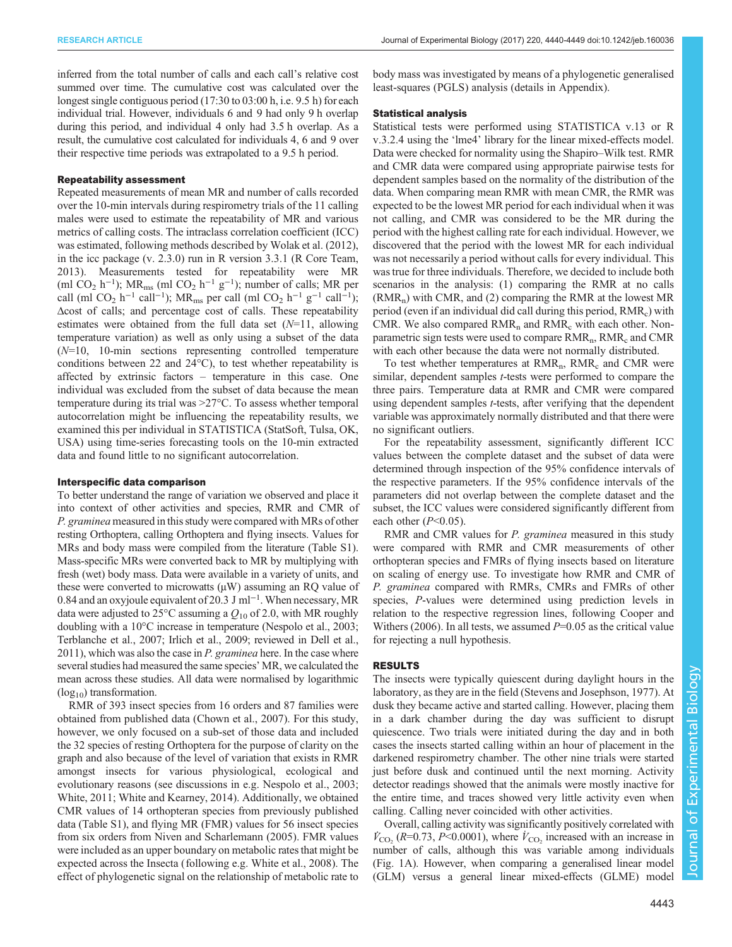inferred from the total number of calls and each call's relative cost summed over time. The cumulative cost was calculated over the longest single contiguous period (17:30 to 03:00 h, i.e. 9.5 h) for each individual trial. However, individuals 6 and 9 had only 9 h overlap during this period, and individual 4 only had 3.5 h overlap. As a result, the cumulative cost calculated for individuals 4, 6 and 9 over their respective time periods was extrapolated to a 9.5 h period.

## Repeatability assessment

Repeated measurements of mean MR and number of calls recorded over the 10-min intervals during respirometry trials of the 11 calling males were used to estimate the repeatability of MR and various metrics of calling costs. The intraclass correlation coefficient (ICC) was estimated, following methods described by [Wolak et al. \(2012\),](#page-9-0) in the icc package (v. 2.3.0) run in R version 3.3.1 ([R Core Team,](#page-9-0) [2013](#page-9-0)). Measurements tested for repeatability were MR (ml CO<sub>2</sub> h<sup>-1</sup>); MR<sub>ms</sub> (ml CO<sub>2</sub> h<sup>-1</sup> g<sup>-1</sup>); number of calls; MR per call (ml CO<sub>2</sub> h<sup>-1</sup> call<sup>-1</sup>); MR<sub>ms</sub> per call (ml CO<sub>2</sub> h<sup>-1</sup> g<sup>-1</sup> call<sup>-1</sup>); Δcost of calls; and percentage cost of calls. These repeatability estimates were obtained from the full data set  $(N=11, 1)$ , allowing temperature variation) as well as only using a subset of the data  $(N=10, 10-min$  sections representing controlled temperature conditions between 22 and 24°C), to test whether repeatability is affected by extrinsic factors – temperature in this case. One individual was excluded from the subset of data because the mean temperature during its trial was >27°C. To assess whether temporal autocorrelation might be influencing the repeatability results, we examined this per individual in STATISTICA (StatSoft, Tulsa, OK, USA) using time-series forecasting tools on the 10-min extracted data and found little to no significant autocorrelation.

## Interspecific data comparison

To better understand the range of variation we observed and place it into context of other activities and species, RMR and CMR of P. graminea measured in this study were compared with MRs of other resting Orthoptera, calling Orthoptera and flying insects. Values for MRs and body mass were compiled from the literature ([Table S1\)](http://jeb.biologists.org/lookup/doi/10.1242/jeb.160036.supplemental). Mass-specific MRs were converted back to MR by multiplying with fresh (wet) body mass. Data were available in a variety of units, and these were converted to microwatts  $(\mu W)$  assuming an RQ value of 0.84 and an oxyjoule equivalent of 20.3 J ml−<sup>1</sup> . When necessary, MR data were adjusted to 25 $\degree$ C assuming a  $Q_{10}$  of 2.0, with MR roughly doubling with a 10°C increase in temperature [\(Nespolo et al., 2003](#page-9-0); [Terblanche et al., 2007](#page-9-0); [Irlich et al., 2009](#page-9-0); reviewed in [Dell et al.,](#page-8-0) [2011\)](#page-8-0), which was also the case in P. graminea here. In the case where several studies had measured the same species' MR, we calculated the mean across these studies. All data were normalised by logarithmic  $(log_{10})$  transformation.

RMR of 393 insect species from 16 orders and 87 families were obtained from published data ([Chown et al., 2007](#page-8-0)). For this study, however, we only focused on a sub-set of those data and included the 32 species of resting Orthoptera for the purpose of clarity on the graph and also because of the level of variation that exists in RMR amongst insects for various physiological, ecological and evolutionary reasons (see discussions in e.g. [Nespolo et al., 2003](#page-9-0); [White, 2011; White and Kearney, 2014](#page-9-0)). Additionally, we obtained CMR values of 14 orthopteran species from previously published data ([Table S1\)](http://jeb.biologists.org/lookup/doi/10.1242/jeb.160036.supplemental), and flying MR (FMR) values for 56 insect species from six orders from [Niven and Scharlemann \(2005\)](#page-9-0). FMR values were included as an upper boundary on metabolic rates that might be expected across the Insecta (following e.g. [White et al., 2008\)](#page-9-0). The effect of phylogenetic signal on the relationship of metabolic rate to

body mass was investigated by means of a phylogenetic generalised least-squares (PGLS) analysis (details in Appendix).

### Statistical analysis

Statistical tests were performed using STATISTICA v.13 or R v.3.2.4 using the 'lme4' library for the linear mixed-effects model. Data were checked for normality using the Shapiro–Wilk test. RMR and CMR data were compared using appropriate pairwise tests for dependent samples based on the normality of the distribution of the data. When comparing mean RMR with mean CMR, the RMR was expected to be the lowest MR period for each individual when it was not calling, and CMR was considered to be the MR during the period with the highest calling rate for each individual. However, we discovered that the period with the lowest MR for each individual was not necessarily a period without calls for every individual. This was true for three individuals. Therefore, we decided to include both scenarios in the analysis: (1) comparing the RMR at no calls  $(RMR_n)$  with CMR, and (2) comparing the RMR at the lowest MR period (even if an individual did call during this period,  $RMR_c$ ) with CMR. We also compared  $RMR_n$  and  $RMR_c$  with each other. Nonparametric sign tests were used to compare  $RMR_n$ ,  $RMR_c$  and  $CMR$ with each other because the data were not normally distributed.

To test whether temperatures at  $RMR_n$ ,  $RMR_c$  and CMR were similar, dependent samples t-tests were performed to compare the three pairs. Temperature data at RMR and CMR were compared using dependent samples t-tests, after verifying that the dependent variable was approximately normally distributed and that there were no significant outliers.

For the repeatability assessment, significantly different ICC values between the complete dataset and the subset of data were determined through inspection of the 95% confidence intervals of the respective parameters. If the 95% confidence intervals of the parameters did not overlap between the complete dataset and the subset, the ICC values were considered significantly different from each other  $(P<0.05)$ .

RMR and CMR values for P. graminea measured in this study were compared with RMR and CMR measurements of other orthopteran species and FMRs of flying insects based on literature on scaling of energy use. To investigate how RMR and CMR of P. graminea compared with RMRs, CMRs and FMRs of other species, P-values were determined using prediction levels in relation to the respective regression lines, following [Cooper and](#page-8-0) [Withers \(2006\).](#page-8-0) In all tests, we assumed  $P=0.05$  as the critical value for rejecting a null hypothesis.

#### RESULTS

The insects were typically quiescent during daylight hours in the laboratory, as they are in the field ([Stevens and Josephson, 1977](#page-9-0)). At dusk they became active and started calling. However, placing them in a dark chamber during the day was sufficient to disrupt quiescence. Two trials were initiated during the day and in both cases the insects started calling within an hour of placement in the darkened respirometry chamber. The other nine trials were started just before dusk and continued until the next morning. Activity detector readings showed that the animals were mostly inactive for the entire time, and traces showed very little activity even when calling. Calling never coincided with other activities.

Overall, calling activity was significantly positively correlated with  $V_{\text{CO}_2}$  (R=0.73, P<0.0001), where  $V_{\text{CO}_2}$  increased with an increase in number of calls, although this was variable among individuals [\(Fig. 1](#page-4-0)A). However, when comparing a generalised linear model (GLM) versus a general linear mixed-effects (GLME) model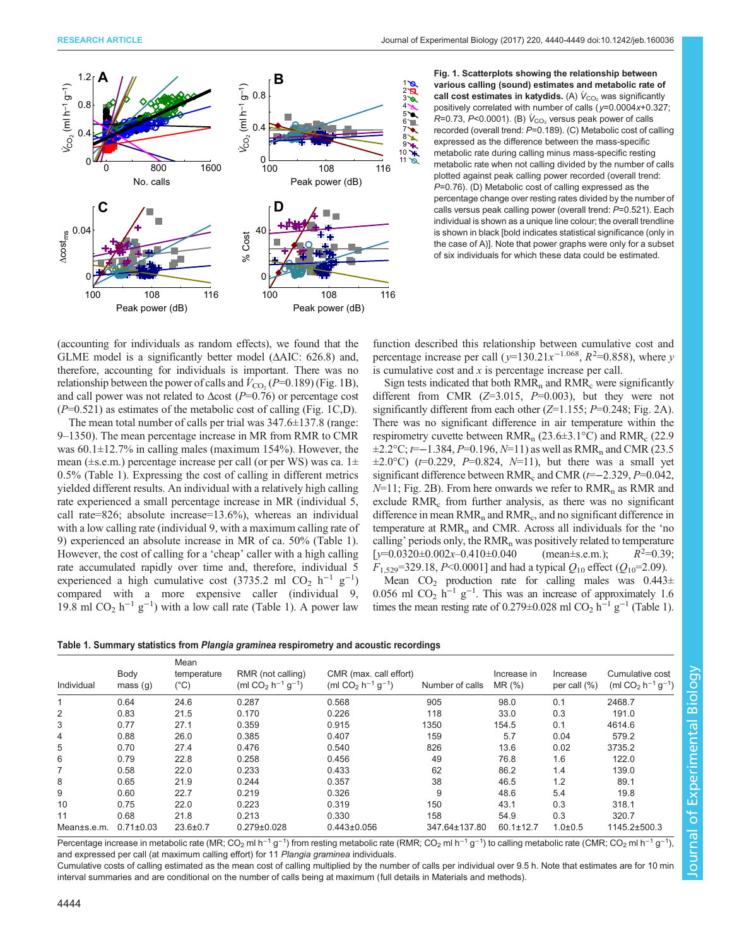<span id="page-4-0"></span>

Fig. 1. Scatterplots showing the relationship between various calling (sound) estimates and metabolic rate of call cost estimates in katydids. (A)  $\dot{V}_{CO_2}$  was significantly positively correlated with number of calls ( $y=0.0004x+0.327$ ; R=0.73, P<0.0001). (B)  $V_{CO_2}$  versus peak power of calls recorded (overall trend: P=0.189). (C) Metabolic cost of calling expressed as the difference between the mass-specific metabolic rate during calling minus mass-specific resting metabolic rate when not calling divided by the number of calls plotted against peak calling power recorded (overall trend: P=0.76). (D) Metabolic cost of calling expressed as the percentage change over resting rates divided by the number of calls versus peak calling power (overall trend: P=0.521). Each individual is shown as a unique line colour; the overall trendline is shown in black [bold indicates statistical significance (only in the case of A)]. Note that power graphs were only for a subset of six individuals for which these data could be estimated.

(accounting for individuals as random effects), we found that the GLME model is a significantly better model (ΔAIC: 626.8) and, therefore, accounting for individuals is important. There was no relationship between the power of calls and  $\hat{V}_{\text{CO}_2}$  (P=0.189) (Fig. 1B), and call power was not related to  $\Delta \text{cost}$  (P=0.76) or percentage cost  $(P=0.521)$  as estimates of the metabolic cost of calling (Fig. 1C,D).

The mean total number of calls per trial was  $347.6 \pm 137.8$  (range: 9–1350). The mean percentage increase in MR from RMR to CMR was  $60.1 \pm 12.7\%$  in calling males (maximum 154%). However, the mean ( $\pm$ s.e.m.) percentage increase per call (or per WS) was ca. 1 $\pm$ 0.5% (Table 1). Expressing the cost of calling in different metrics yielded different results. An individual with a relatively high calling rate experienced a small percentage increase in MR (individual 5, call rate=826; absolute increase=13.6%), whereas an individual with a low calling rate (individual 9, with a maximum calling rate of 9) experienced an absolute increase in MR of ca. 50% (Table 1). However, the cost of calling for a 'cheap' caller with a high calling rate accumulated rapidly over time and, therefore, individual 5 experienced a high cumulative cost (3735.2 ml CO<sub>2</sub> h<sup>-1</sup> g<sup>-1</sup>) compared with a more expensive caller (individual 9, 19.8 ml CO<sub>2</sub> h<sup>-1</sup> g<sup>-1</sup>) with a low call rate (Table 1). A power law

function described this relationship between cumulative cost and percentage increase per call ( $y=130.21x^{-1.068}$ ,  $R^2=0.858$ ), where y is cumulative cost and  $x$  is percentage increase per call.

Sign tests indicated that both  $RMR_n$  and  $RMR_c$  were significantly different from CMR  $(Z=3.015, P=0.003)$ , but they were not significantly different from each other  $(Z=1.155; P=0.248; Fig. 2A)$  $(Z=1.155; P=0.248; Fig. 2A)$  $(Z=1.155; P=0.248; Fig. 2A)$ . There was no significant difference in air temperature within the respirometry cuvette between  $\text{RMR}_{n}$  (23.6 $\pm$ 3.1°C) and  $\text{RMR}_{c}$  (22.9  $\pm 2.2$ °C;  $t$ =−1.384, P=0.196, N=11) as well as RMR<sub>n</sub> and CMR (23.5)  $\pm 2.0^{\circ}$ C) ( $t=0.229$ ,  $P=0.824$ ,  $N=11$ ), but there was a small yet significant difference between  $\text{RMR}_{c}$  and  $\text{CMR}$  ( $t=-2.329$ ,  $P=0.042$ ,  $N=11$ ; [Fig. 2B](#page-5-0)). From here onwards we refer to  $RMR_n$  as RMR and exclude RMR<sub>c</sub> from further analysis, as there was no significant difference in mean  $RMR_n$  and  $RMR_c$ , and no significant difference in temperature at  $RMR_n$  and CMR. Across all individuals for the 'no calling' periods only, the  $RMR_n$  was positively related to temperature  $[y=0.0320\pm0.002x-0.410\pm0.040$  (mean $\pm$ s.e.m.);  $R^2=0.39;$  $F_{1,529}$ =329.18, P<0.0001] and had a typical  $Q_{10}$  effect ( $Q_{10}$ =2.09).

Mean  $CO<sub>2</sub>$  production rate for calling males was  $0.443 \pm$ 0.056 ml CO<sub>2</sub> h<sup>-1</sup> g<sup>-1</sup>. This was an increase of approximately 1.6 times the mean resting rate of 0.279±0.028 ml CO<sub>2</sub> h<sup>-1</sup> g<sup>-1</sup> (Table 1).

Table 1. Summary statistics from Plangia graminea respirometry and acoustic recordings

| Individual  | Body<br>mass(g) | Mean<br>temperature<br>(°C) | RMR (not calling)<br>(ml CO <sub>2</sub> $h^{-1}$ g <sup>-1</sup> ) | CMR (max. call effort)<br>(ml CO <sub>2</sub> $h^{-1}$ $q^{-1}$ ) | Number of calls | Increase in<br>MR (%) | Increase<br>per call $(\%)$ | Cumulative cost<br>(ml CO <sub>2</sub> h <sup>-1</sup> g <sup>-1</sup> ) |  |
|-------------|-----------------|-----------------------------|---------------------------------------------------------------------|-------------------------------------------------------------------|-----------------|-----------------------|-----------------------------|--------------------------------------------------------------------------|--|
|             | 0.64            | 24.6                        | 0.287                                                               | 0.568                                                             | 905             | 98.0                  | 0.1                         | 2468.7                                                                   |  |
| 2           | 0.83            | 21.5                        | 0.170                                                               | 0.226                                                             | 118             | 33.0                  | 0.3                         | 191.0                                                                    |  |
| 3           | 0.77            | 27.1                        | 0.359                                                               | 0.915                                                             | 1350            | 154.5                 | 0.1                         | 4614.6                                                                   |  |
| 4           | 0.88            | 26.0                        | 0.385                                                               | 0.407                                                             | 159             | 5.7                   | 0.04                        | 579.2                                                                    |  |
| 5           | 0.70            | 27.4                        | 0.476                                                               | 0.540                                                             | 826             | 13.6                  | 0.02                        | 3735.2                                                                   |  |
| 6           | 0.79            | 22.8                        | 0.258                                                               | 0.456                                                             | 49              | 76.8                  | 1.6                         | 122.0                                                                    |  |
| 7           | 0.58            | 22.0                        | 0.233                                                               | 0.433                                                             | 62              | 86.2                  | 1.4                         | 139.0                                                                    |  |
| 8           | 0.65            | 21.9                        | 0.244                                                               | 0.357                                                             | 38              | 46.5                  | 1.2                         | 89.1                                                                     |  |
| 9           | 0.60            | 22.7                        | 0.219                                                               | 0.326                                                             | 9               | 48.6                  | 5.4                         | 19.8                                                                     |  |
| 10          | 0.75            | 22.0                        | 0.223                                                               | 0.319                                                             | 150             | 43.1                  | 0.3                         | 318.1                                                                    |  |
| 11          | 0.68            | 21.8                        | 0.213                                                               | 0.330                                                             | 158             | 54.9                  | 0.3                         | 320.7                                                                    |  |
| Mean±s.e.m. | $0.71 \pm 0.03$ | $23.6 \pm 0.7$              | $0.279 \pm 0.028$                                                   | $0.443 \pm 0.056$                                                 | 347.64±137.80   | $60.1 \pm 12.7$       | $1.0 + 0.5$                 | 1145.2±500.3                                                             |  |

Percentage increase in metabolic rate (MR; CO<sub>2</sub> ml h<sup>−1</sup> g<sup>−1</sup>) from resting metabolic rate (RMR; CO<sub>2</sub> ml h<sup>−1</sup> g<sup>−1</sup>) to calling metabolic rate (CMR; CO<sub>2</sub> ml h<sup>−1</sup> g<sup>−1</sup> ), and expressed per call (at maximum calling effort) for 11 Plangia graminea individuals.

Cumulative costs of calling estimated as the mean cost of calling multiplied by the number of calls per individual over 9.5 h. Note that estimates are for 10 min interval summaries and are conditional on the number of calls being at maximum (full details in Materials and methods).

Journal of Experimental Biology**Journal of Experimental Biology**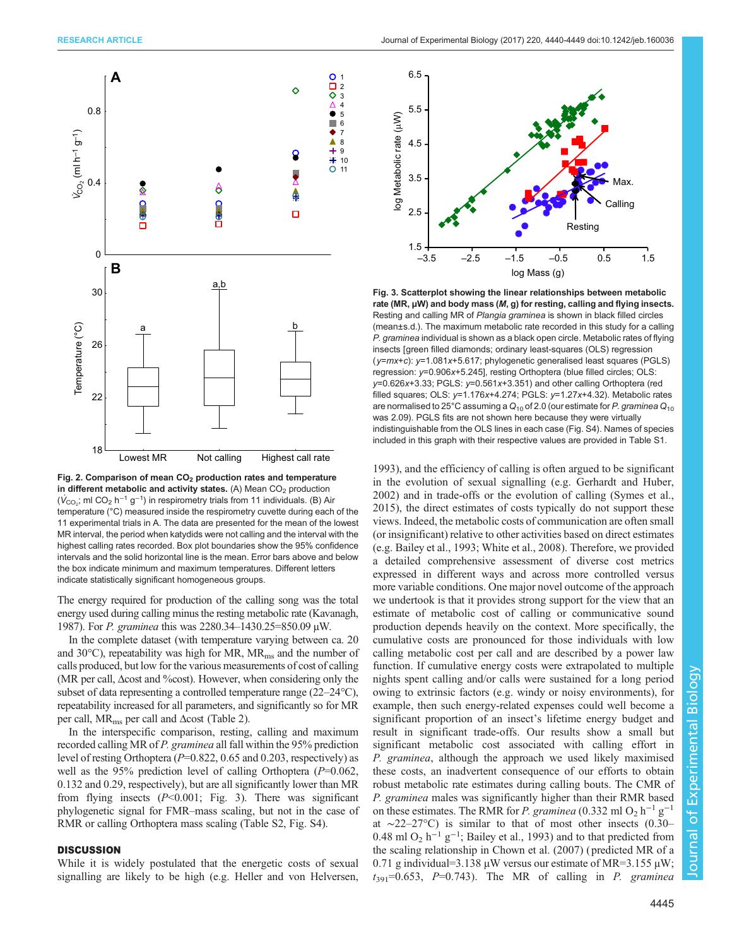<span id="page-5-0"></span>

Fig. 2. Comparison of mean  $CO<sub>2</sub>$  production rates and temperature in different metabolic and activity states. (A) Mean  $CO<sub>2</sub>$  production  $(V<sub>CO<sub>2</sub></sub>$ ; ml CO<sub>2</sub> h<sup>-1</sup> g<sup>-1</sup>) in respirometry trials from 11 individuals. (B) Air temperature (°C) measured inside the respirometry cuvette during each of the 11 experimental trials in A. The data are presented for the mean of the lowest MR interval, the period when katydids were not calling and the interval with the highest calling rates recorded. Box plot boundaries show the 95% confidence intervals and the solid horizontal line is the mean. Error bars above and below the box indicate minimum and maximum temperatures. Different letters indicate statistically significant homogeneous groups.

The energy required for production of the calling song was the total energy used during calling minus the resting metabolic rate [\(Kavanagh,](#page-9-0) [1987](#page-9-0)). For P. graminea this was 2280.34–1430.25=850.09 µW.

In the complete dataset (with temperature varying between ca. 20 and 30 $^{\circ}$ C), repeatability was high for MR, MR<sub>ms</sub> and the number of calls produced, but low for the various measurements of cost of calling (MR per call, Δcost and %cost). However, when considering only the subset of data representing a controlled temperature range (22–24°C), repeatability increased for all parameters, and significantly so for MR per call,  $MR_{ms}$  per call and  $\Delta$ cost [\(Table 2](#page-6-0)).

In the interspecific comparison, resting, calling and maximum recorded calling MR of P. graminea all fall within the 95% prediction level of resting Orthoptera (P=0.822, 0.65 and 0.203, respectively) as well as the 95% prediction level of calling Orthoptera  $(P=0.062,$ 0.132 and 0.29, respectively), but are all significantly lower than MR from flying insects  $(P<0.001$ ; Fig. 3). There was significant phylogenetic signal for FMR–mass scaling, but not in the case of RMR or calling Orthoptera mass scaling [\(Table S2](http://jeb.biologists.org/lookup/doi/10.1242/jeb.160036.supplemental), [Fig. S4](http://jeb.biologists.org/lookup/doi/10.1242/jeb.160036.supplemental)).

# **DISCUSSION**

While it is widely postulated that the energetic costs of sexual signalling are likely to be high (e.g. [Heller and von Helversen,](#page-8-0)



Fig. 3. Scatterplot showing the linear relationships between metabolic rate (MR, µW) and body mass (M, g) for resting, calling and flying insects. Resting and calling MR of Plangia graminea is shown in black filled circles (mean±s.d.). The maximum metabolic rate recorded in this study for a calling P. graminea individual is shown as a black open circle. Metabolic rates of flying insects [green filled diamonds; ordinary least-squares (OLS) regression (y=mx+c): y=1.081x+5.617; phylogenetic generalised least squares (PGLS) regression: y=0.906x+5.245], resting Orthoptera (blue filled circles; OLS: y=0.626x+3.33; PGLS: y=0.561x+3.351) and other calling Orthoptera (red filled squares; OLS: y=1.176x+4.274; PGLS: y=1.27x+4.32). Metabolic rates are normalised to 25°C assuming a  $Q_{10}$  of 2.0 (our estimate for P. graminea  $Q_{10}$ was 2.09). PGLS fits are not shown here because they were virtually indistinguishable from the OLS lines in each case ([Fig. S4](http://jeb.biologists.org/lookup/doi/10.1242/jeb.160036.supplemental)). Names of species included in this graph with their respective values are provided in [Table S1](http://jeb.biologists.org/lookup/doi/10.1242/jeb.160036.supplemental).

[1993\)](#page-8-0), and the efficiency of calling is often argued to be significant in the evolution of sexual signalling (e.g. [Gerhardt and Huber,](#page-8-0) [2002\)](#page-8-0) and in trade-offs or the evolution of calling ([Symes et al.,](#page-9-0) [2015\)](#page-9-0), the direct estimates of costs typically do not support these views. Indeed, the metabolic costs of communication are often small (or insignificant) relative to other activities based on direct estimates (e.g. [Bailey et al., 1993](#page-8-0); [White et al., 2008](#page-9-0)). Therefore, we provided a detailed comprehensive assessment of diverse cost metrics expressed in different ways and across more controlled versus more variable conditions. One major novel outcome of the approach we undertook is that it provides strong support for the view that an estimate of metabolic cost of calling or communicative sound production depends heavily on the context. More specifically, the cumulative costs are pronounced for those individuals with low calling metabolic cost per call and are described by a power law function. If cumulative energy costs were extrapolated to multiple nights spent calling and/or calls were sustained for a long period owing to extrinsic factors (e.g. windy or noisy environments), for example, then such energy-related expenses could well become a significant proportion of an insect's lifetime energy budget and result in significant trade-offs. Our results show a small but significant metabolic cost associated with calling effort in P. graminea, although the approach we used likely maximised these costs, an inadvertent consequence of our efforts to obtain robust metabolic rate estimates during calling bouts. The CMR of P. graminea males was significantly higher than their RMR based on these estimates. The RMR for P. graminea (0.332 ml O<sub>2</sub> h<sup>-1</sup> g<sup>-1</sup> at ∼22–27°C) is similar to that of most other insects (0.30– 0.48 ml O<sub>2</sub> h<sup>-1</sup> g<sup>-1</sup>; [Bailey et al., 1993\)](#page-8-0) and to that predicted from the scaling relationship in [Chown et al. \(2007\)](#page-8-0) ( predicted MR of a 0.71 g individual=3.138  $\mu$ W versus our estimate of MR=3.155  $\mu$ W;  $t_{391}$ =0.653, P=0.743). The MR of calling in P. graminea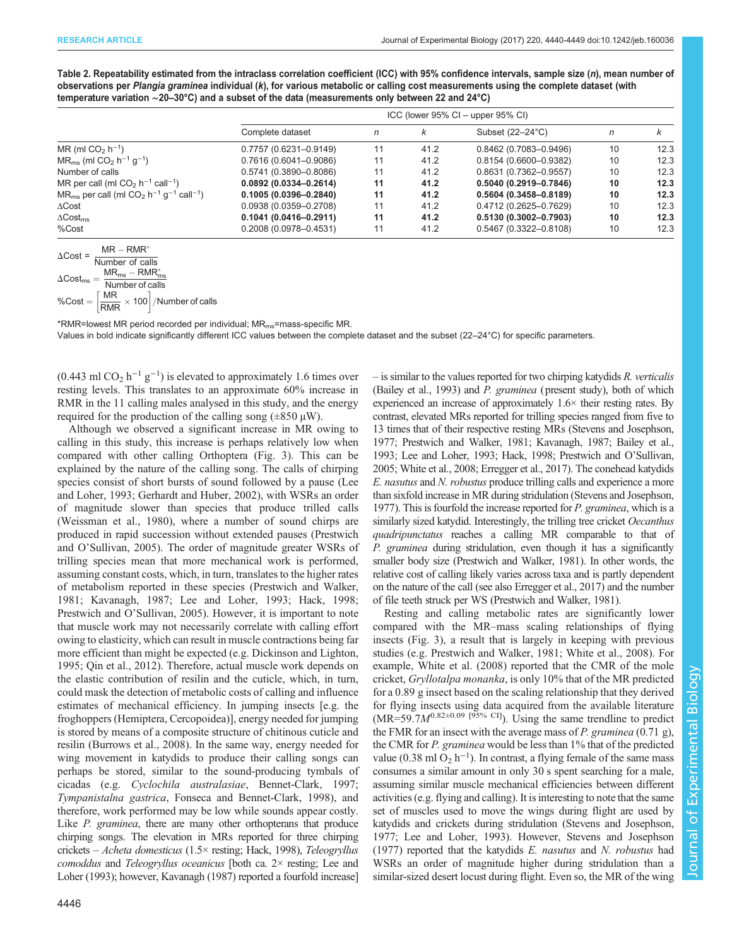<span id="page-6-0"></span>Table 2. Repeatability estimated from the intraclass correlation coefficient (ICC) with 95% confidence intervals, sample size (n), mean number of observations per Plangia graminea individual (k), for various metabolic or calling cost measurements using the complete dataset (with temperature variation ∼20–30°C) and a subset of the data (measurements only between 22 and 24°C)

|                                                                                             | $ICC$ (lower 95% $Cl -$ upper 95% $Cl$ ) |    |      |                           |    |      |
|---------------------------------------------------------------------------------------------|------------------------------------------|----|------|---------------------------|----|------|
|                                                                                             | Complete dataset                         | n  | k    | Subset $(22-24^{\circ}C)$ | n  | ĸ    |
| $MR$ (ml $CO2 h-1$ )                                                                        | $0.7757(0.6231 - 0.9149)$                | 11 | 41.2 | $0.8462(0.7083 - 0.9496)$ | 10 | 12.3 |
| $MR_{ms}$ (ml CO <sub>2</sub> h <sup>-1</sup> g <sup>-1</sup> )                             | $0.7616(0.6041 - 0.9086)$                |    | 41.2 | 0.8154 (0.6600-0.9382)    | 10 | 12.3 |
| Number of calls                                                                             | $0.5741(0.3890 - 0.8086)$                |    | 41.2 | $0.8631(0.7362 - 0.9557)$ | 10 | 12.3 |
| MR per call (ml $CO2 h-1$ call <sup>-1</sup> )                                              | $0.0892(0.0334 - 0.2614)$                | 11 | 41.2 | $0.5040(0.2919 - 0.7846)$ | 10 | 12.3 |
| $MR_{ms}$ per call (ml CO <sub>2</sub> h <sup>-1</sup> g <sup>-1</sup> call <sup>-1</sup> ) | $0.1005(0.0396 - 0.2840)$                | 11 | 41.2 | $0.5604(0.3458 - 0.8189)$ | 10 | 12.3 |
| $\Delta$ Cost                                                                               | $0.0938(0.0359 - 0.2708)$                |    | 41.2 | 0.4712 (0.2625-0.7629)    | 10 | 12.3 |
| $\Delta$ Cost <sub>ms</sub>                                                                 | $0.1041(0.0416 - 0.2911)$                | 11 | 41.2 | $0.5130(0.3002 - 0.7903)$ | 10 | 12.3 |
| %Cost                                                                                       | $0.2008(0.0978 - 0.4531)$                |    | 41.2 | $0.5467(0.3322 - 0.8108)$ | 10 | 12.3 |

|  | $MR - RMR^*$                                                                                                       |
|--|--------------------------------------------------------------------------------------------------------------------|
|  | $\Delta \text{Cost} = \frac{1013 \times 1011}{\text{Number of calls}}$                                             |
|  | $\Delta \text{Cost}_{\text{ms}} = \frac{\text{MR}_{\text{ms}} - \text{RMR}_{\text{ms}}^*}{\text{Number of calls}}$ |
|  |                                                                                                                    |
|  | %Cost = $\left[\frac{\text{MR}}{\text{RMR}} \times 100\right]$ /Number of calls                                    |
|  |                                                                                                                    |

\*RMR=lowest MR period recorded per individual; MRms=mass-specific MR. Values in bold indicate significantly different ICC values between the complete dataset and the subset (22–24°C) for specific parameters.

(0.443 ml CO<sub>2</sub> h<sup>-1</sup> g<sup>-1</sup>) is elevated to approximately 1.6 times over resting levels. This translates to an approximate 60% increase in RMR in the 11 calling males analysed in this study, and the energy required for the production of the calling song  $(\pm 850 \,\mu\text{W})$ .

Although we observed a significant increase in MR owing to calling in this study, this increase is perhaps relatively low when compared with other calling Orthoptera ([Fig. 3](#page-5-0)). This can be explained by the nature of the calling song. The calls of chirping species consist of short bursts of sound followed by a pause ([Lee](#page-9-0) [and Loher, 1993](#page-9-0); [Gerhardt and Huber, 2002\)](#page-8-0), with WSRs an order of magnitude slower than species that produce trilled calls [\(Weissman et al., 1980](#page-9-0)), where a number of sound chirps are produced in rapid succession without extended pauses [\(Prestwich](#page-9-0) and O'[Sullivan, 2005](#page-9-0)). The order of magnitude greater WSRs of trilling species mean that more mechanical work is performed, assuming constant costs, which, in turn, translates to the higher rates of metabolism reported in these species [\(Prestwich and Walker,](#page-9-0) [1981](#page-9-0); [Kavanagh, 1987; Lee and Loher, 1993](#page-9-0); [Hack, 1998](#page-8-0); [Prestwich and O](#page-9-0)'Sullivan, 2005). However, it is important to note that muscle work may not necessarily correlate with calling effort owing to elasticity, which can result in muscle contractions being far more efficient than might be expected (e.g. [Dickinson and Lighton,](#page-8-0) [1995](#page-8-0); [Qin et al., 2012](#page-9-0)). Therefore, actual muscle work depends on the elastic contribution of resilin and the cuticle, which, in turn, could mask the detection of metabolic costs of calling and influence estimates of mechanical efficiency. In jumping insects [e.g. the froghoppers (Hemiptera, Cercopoidea)], energy needed for jumping is stored by means of a composite structure of chitinous cuticle and resilin [\(Burrows et al., 2008](#page-8-0)). In the same way, energy needed for wing movement in katydids to produce their calling songs can perhaps be stored, similar to the sound-producing tymbals of cicadas (e.g. Cyclochila australasiae, [Bennet-Clark, 1997](#page-8-0); Tympanistalna gastrica, [Fonseca and Bennet-Clark, 1998](#page-8-0)), and therefore, work performed may be low while sounds appear costly. Like *P. graminea*, there are many other orthopterans that produce chirping songs. The elevation in MRs reported for three chirping crickets – Acheta domesticus (1.5× resting; [Hack, 1998\)](#page-8-0), Teleogryllus comoddus and Teleogryllus oceanicus [both ca. 2× resting; [Lee and](#page-9-0) [Loher \(1993\)](#page-9-0); however, [Kavanagh \(1987\)](#page-9-0) reported a fourfold increase]

– is similar to the values reported for two chirping katydids R. verticalis [\(Bailey et al., 1993](#page-8-0)) and P. graminea (present study), both of which experienced an increase of approximately 1.6× their resting rates. By contrast, elevated MRs reported for trilling species ranged from five to 13 times that of their respective resting MRs ([Stevens and Josephson,](#page-9-0) [1977](#page-9-0); [Prestwich and Walker, 1981](#page-9-0); [Kavanagh, 1987](#page-9-0); [Bailey et al.,](#page-8-0) [1993](#page-8-0); [Lee and Loher, 1993](#page-9-0); [Hack, 1998](#page-8-0); [Prestwich and O](#page-9-0)'Sullivan, [2005](#page-9-0); [White et al., 2008;](#page-9-0) [Erregger et al., 2017](#page-8-0)). The conehead katydids E. nasutus and N. robustus produce trilling calls and experience a more than sixfold increase in MR during stridulation ([Stevens and Josephson,](#page-9-0) [1977](#page-9-0)). This is fourfold the increase reported for P. graminea, which is a similarly sized katydid. Interestingly, the trilling tree cricket Oecanthus quadripunctatus reaches a calling MR comparable to that of P. graminea during stridulation, even though it has a significantly smaller body size [\(Prestwich and Walker, 1981](#page-9-0)). In other words, the relative cost of calling likely varies across taxa and is partly dependent on the nature of the call (see also [Erregger et al., 2017\)](#page-8-0) and the number of file teeth struck per WS [\(Prestwich and Walker, 1981\)](#page-9-0).

Resting and calling metabolic rates are significantly lower compared with the MR–mass scaling relationships of flying insects [\(Fig. 3\)](#page-5-0), a result that is largely in keeping with previous studies (e.g. [Prestwich and Walker, 1981](#page-9-0); [White et al., 2008\)](#page-9-0). For example, [White et al. \(2008\)](#page-9-0) reported that the CMR of the mole cricket, Gryllotalpa monanka, is only 10% that of the MR predicted for a 0.89 g insect based on the scaling relationship that they derived for flying insects using data acquired from the available literature  $(MR=59.7M^{0.82\pm0.09}$  [95% CI]). Using the same trendline to predict the FMR for an insect with the average mass of P. graminea  $(0.71 \text{ g})$ , the CMR for P. graminea would be less than 1% that of the predicted value (0.38 ml  $O_2$  h<sup>-1</sup>). In contrast, a flying female of the same mass consumes a similar amount in only 30 s spent searching for a male, assuming similar muscle mechanical efficiencies between different activities (e.g. flying and calling). It is interesting to note that the same set of muscles used to move the wings during flight are used by katydids and crickets during stridulation [\(Stevens and Josephson,](#page-9-0) [1977; Lee and Loher, 1993](#page-9-0)). However, [Stevens and Josephson](#page-9-0) [\(1977\)](#page-9-0) reported that the katydids E. nasutus and N. robustus had WSRs an order of magnitude higher during stridulation than a similar-sized desert locust during flight. Even so, the MR of the wing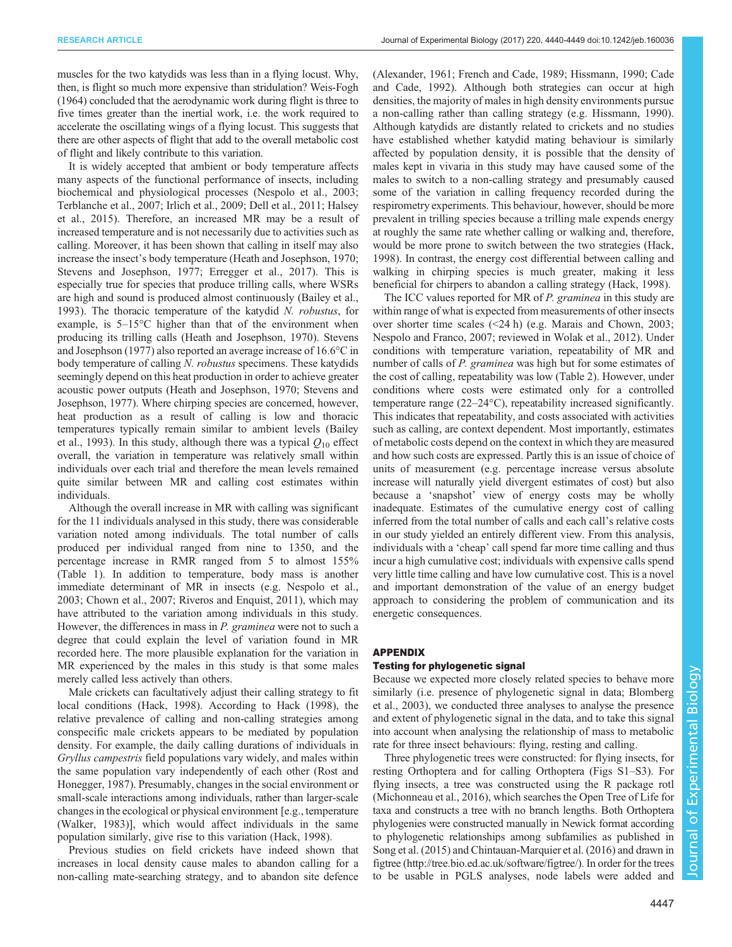muscles for the two katydids was less than in a flying locust. Why, then, is flight so much more expensive than stridulation? [Weis-Fogh](#page-9-0) [\(1964\)](#page-9-0) concluded that the aerodynamic work during flight is three to five times greater than the inertial work, i.e. the work required to accelerate the oscillating wings of a flying locust. This suggests that there are other aspects of flight that add to the overall metabolic cost of flight and likely contribute to this variation.

It is widely accepted that ambient or body temperature affects many aspects of the functional performance of insects, including biochemical and physiological processes [\(Nespolo et al., 2003](#page-9-0); [Terblanche et al., 2007](#page-9-0); [Irlich et al., 2009;](#page-9-0) [Dell et al., 2011](#page-8-0); [Halsey](#page-8-0) [et al., 2015](#page-8-0)). Therefore, an increased MR may be a result of increased temperature and is not necessarily due to activities such as calling. Moreover, it has been shown that calling in itself may also increase the insect's body temperature [\(Heath and Josephson, 1970](#page-8-0); [Stevens and Josephson, 1977](#page-9-0); [Erregger et al., 2017\)](#page-8-0). This is especially true for species that produce trilling calls, where WSRs are high and sound is produced almost continuously [\(Bailey et al.,](#page-8-0) [1993](#page-8-0)). The thoracic temperature of the katydid N. robustus, for example, is 5–15°C higher than that of the environment when producing its trilling calls ([Heath and Josephson, 1970\)](#page-8-0). [Stevens](#page-9-0) [and Josephson \(1977\)](#page-9-0) also reported an average increase of 16.6°C in body temperature of calling N. robustus specimens. These katydids seemingly depend on this heat production in order to achieve greater acoustic power outputs [\(Heath and Josephson, 1970](#page-8-0); [Stevens and](#page-9-0) [Josephson, 1977\)](#page-9-0). Where chirping species are concerned, however, heat production as a result of calling is low and thoracic temperatures typically remain similar to ambient levels ([Bailey](#page-8-0) [et al., 1993](#page-8-0)). In this study, although there was a typical  $Q_{10}$  effect overall, the variation in temperature was relatively small within individuals over each trial and therefore the mean levels remained quite similar between MR and calling cost estimates within individuals.

Although the overall increase in MR with calling was significant for the 11 individuals analysed in this study, there was considerable variation noted among individuals. The total number of calls produced per individual ranged from nine to 1350, and the percentage increase in RMR ranged from 5 to almost 155% [\(Table 1\)](#page-4-0). In addition to temperature, body mass is another immediate determinant of MR in insects (e.g. [Nespolo et al.,](#page-9-0) [2003](#page-9-0); [Chown et al., 2007;](#page-8-0) [Riveros and Enquist, 2011](#page-9-0)), which may have attributed to the variation among individuals in this study. However, the differences in mass in P. graminea were not to such a degree that could explain the level of variation found in MR recorded here. The more plausible explanation for the variation in MR experienced by the males in this study is that some males merely called less actively than others.

Male crickets can facultatively adjust their calling strategy to fit local conditions [\(Hack, 1998](#page-8-0)). According to [Hack \(1998\)](#page-8-0), the relative prevalence of calling and non-calling strategies among conspecific male crickets appears to be mediated by population density. For example, the daily calling durations of individuals in Gryllus campestris field populations vary widely, and males within the same population vary independently of each other ([Rost and](#page-9-0) [Honegger, 1987\)](#page-9-0). Presumably, changes in the social environment or small-scale interactions among individuals, rather than larger-scale changes in the ecological or physical environment [e.g., temperature [\(Walker, 1983](#page-9-0))], which would affect individuals in the same population similarly, give rise to this variation [\(Hack, 1998\)](#page-8-0).

Previous studies on field crickets have indeed shown that increases in local density cause males to abandon calling for a non-calling mate-searching strategy, and to abandon site defence [\(Alexander, 1961](#page-8-0); [French and Cade, 1989](#page-8-0); [Hissmann, 1990](#page-9-0); [Cade](#page-8-0) [and Cade, 1992](#page-8-0)). Although both strategies can occur at high densities, the majority of males in high density environments pursue a non-calling rather than calling strategy (e.g. [Hissmann, 1990\)](#page-9-0). Although katydids are distantly related to crickets and no studies have established whether katydid mating behaviour is similarly affected by population density, it is possible that the density of males kept in vivaria in this study may have caused some of the males to switch to a non-calling strategy and presumably caused some of the variation in calling frequency recorded during the respirometry experiments. This behaviour, however, should be more prevalent in trilling species because a trilling male expends energy at roughly the same rate whether calling or walking and, therefore, would be more prone to switch between the two strategies ([Hack,](#page-8-0) [1998\)](#page-8-0). In contrast, the energy cost differential between calling and walking in chirping species is much greater, making it less beneficial for chirpers to abandon a calling strategy [\(Hack, 1998\)](#page-8-0).

The ICC values reported for MR of P. graminea in this study are within range of what is expected from measurements of other insects over shorter time scales (<24 h) (e.g. [Marais and Chown, 2003](#page-9-0); [Nespolo and Franco, 2007;](#page-9-0) reviewed in [Wolak et al., 2012](#page-9-0)). Under conditions with temperature variation, repeatability of MR and number of calls of P. graminea was high but for some estimates of the cost of calling, repeatability was low ([Table 2](#page-6-0)). However, under conditions where costs were estimated only for a controlled temperature range (22–24°C), repeatability increased significantly. This indicates that repeatability, and costs associated with activities such as calling, are context dependent. Most importantly, estimates of metabolic costs depend on the context in which they are measured and how such costs are expressed. Partly this is an issue of choice of units of measurement (e.g. percentage increase versus absolute increase will naturally yield divergent estimates of cost) but also because a 'snapshot' view of energy costs may be wholly inadequate. Estimates of the cumulative energy cost of calling inferred from the total number of calls and each call's relative costs in our study yielded an entirely different view. From this analysis, individuals with a 'cheap' call spend far more time calling and thus incur a high cumulative cost; individuals with expensive calls spend very little time calling and have low cumulative cost. This is a novel and important demonstration of the value of an energy budget approach to considering the problem of communication and its energetic consequences.

#### APPENDIX

#### Testing for phylogenetic signal

Because we expected more closely related species to behave more similarly (i.e. presence of phylogenetic signal in data; [Blomberg](#page-8-0) [et al., 2003](#page-8-0)), we conducted three analyses to analyse the presence and extent of phylogenetic signal in the data, and to take this signal into account when analysing the relationship of mass to metabolic rate for three insect behaviours: flying, resting and calling.

Three phylogenetic trees were constructed: for flying insects, for resting Orthoptera and for calling Orthoptera [\(Figs S1](http://jeb.biologists.org/lookup/doi/10.1242/jeb.160036.supplemental)–[S3](http://jeb.biologists.org/lookup/doi/10.1242/jeb.160036.supplemental)). For flying insects, a tree was constructed using the R package rotl [\(Michonneau et al., 2016](#page-9-0)), which searches the Open Tree of Life for taxa and constructs a tree with no branch lengths. Both Orthoptera phylogenies were constructed manually in Newick format according to phylogenetic relationships among subfamilies as published in [Song et al. \(2015\)](#page-9-0) and [Chintauan-Marquier et al. \(2016\)](#page-8-0) and drawn in figtree [\(http://tree.bio.ed.ac.uk/software/figtree/\)](http://tree.bio.ed.ac.uk/software/figtree/). In order for the trees to be usable in PGLS analyses, node labels were added and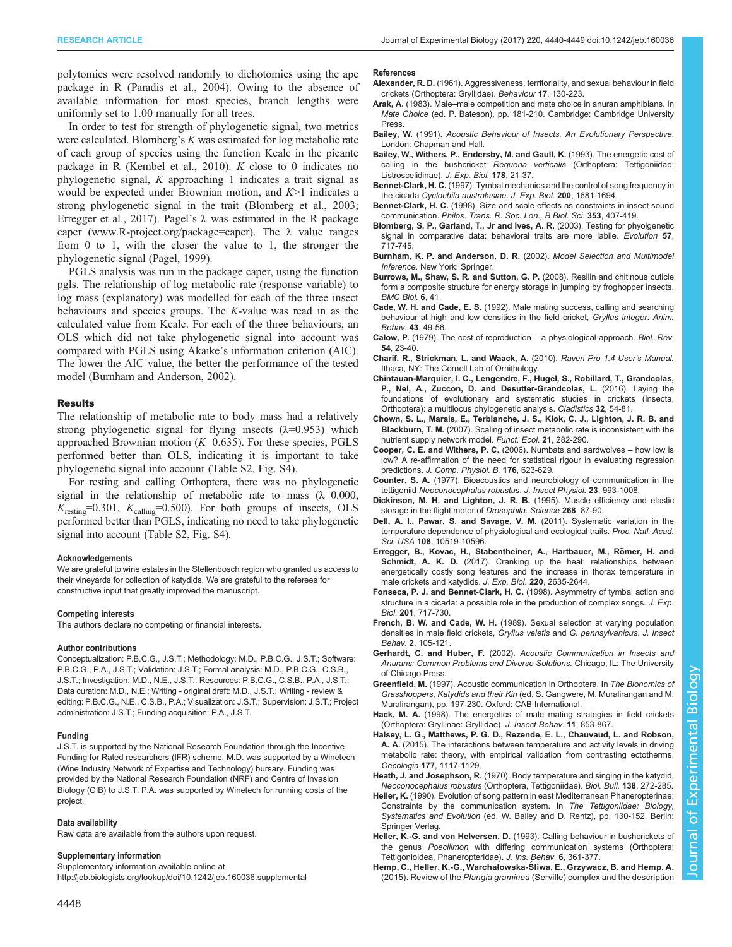<span id="page-8-0"></span>polytomies were resolved randomly to dichotomies using the ape package in R ([Paradis et al., 2004\)](#page-9-0). Owing to the absence of available information for most species, branch lengths were uniformly set to 1.00 manually for all trees.

In order to test for strength of phylogenetic signal, two metrics were calculated. Blomberg's K was estimated for log metabolic rate of each group of species using the function Kcalc in the picante package in R [\(Kembel et al., 2010](#page-9-0)). K close to 0 indicates no phylogenetic signal, K approaching 1 indicates a trait signal as would be expected under Brownian motion, and  $K>1$  indicates a strong phylogenetic signal in the trait (Blomberg et al., 2003; Erregger et al., 2017). Pagel's  $\lambda$  was estimated in the R package caper ([www.R-project.org/package=caper\)](http://www.R-project.org/package=caper). The  $\lambda$  value ranges from 0 to 1, with the closer the value to 1, the stronger the phylogenetic signal ([Pagel, 1999](#page-9-0)).

PGLS analysis was run in the package caper, using the function pgls. The relationship of log metabolic rate (response variable) to log mass (explanatory) was modelled for each of the three insect behaviours and species groups. The K-value was read in as the calculated value from Kcalc. For each of the three behaviours, an OLS which did not take phylogenetic signal into account was compared with PGLS using Akaike's information criterion (AIC). The lower the AIC value, the better the performance of the tested model (Burnham and Anderson, 2002).

#### Results

The relationship of metabolic rate to body mass had a relatively strong phylogenetic signal for flying insects  $(\lambda=0.953)$  which approached Brownian motion  $(K=0.635)$ . For these species, PGLS performed better than OLS, indicating it is important to take phylogenetic signal into account [\(Table S2](http://jeb.biologists.org/lookup/doi/10.1242/jeb.160036.supplemental), [Fig. S4\)](http://jeb.biologists.org/lookup/doi/10.1242/jeb.160036.supplemental).

For resting and calling Orthoptera, there was no phylogenetic signal in the relationship of metabolic rate to mass  $(\lambda=0.000,$  $K_{\text{resting}}$ =0.301,  $K_{\text{calling}}$ =0.500). For both groups of insects, OLS performed better than PGLS, indicating no need to take phylogenetic signal into account [\(Table S2](http://jeb.biologists.org/lookup/doi/10.1242/jeb.160036.supplemental), [Fig. S4](http://jeb.biologists.org/lookup/doi/10.1242/jeb.160036.supplemental)).

#### Acknowledgements

We are grateful to wine estates in the Stellenbosch region who granted us access to their vineyards for collection of katydids. We are grateful to the referees for constructive input that greatly improved the manuscript.

#### Competing interests

The authors declare no competing or financial interests.

#### Author contributions

Conceptualization: P.B.C.G., J.S.T.; Methodology: M.D., P.B.C.G., J.S.T.; Software: P.B.C.G., P.A., J.S.T.; Validation: J.S.T.; Formal analysis: M.D., P.B.C.G., C.S.B., J.S.T.; Investigation: M.D., N.E., J.S.T.; Resources: P.B.C.G., C.S.B., P.A., J.S.T.; Data curation: M.D., N.E.; Writing - original draft: M.D., J.S.T.; Writing - review & editing: P.B.C.G., N.E., C.S.B., P.A.; Visualization: J.S.T.; Supervision: J.S.T.; Project administration: J.S.T.; Funding acquisition: P.A., J.S.T.

#### Funding

J.S.T. is supported by the National Research Foundation through the Incentive Funding for Rated researchers (IFR) scheme. M.D. was supported by a Winetech (Wine Industry Network of Expertise and Technology) bursary. Funding was provided by the National Research Foundation (NRF) and Centre of Invasion Biology (CIB) to J.S.T. P.A. was supported by Winetech for running costs of the project.

#### Data availability

Raw data are available from the authors upon request.

#### Supplementary information

Supplementary information available online at <http://jeb.biologists.org/lookup/doi/10.1242/jeb.160036.supplemental>

- Alexander, R. D. [\(1961\). Aggressiveness, territoriality, and sexual behaviour in field](http://dx.doi.org/10.1163/156853961X00042) [crickets \(Orthoptera: Gryllidae\).](http://dx.doi.org/10.1163/156853961X00042) Behaviour 17, 130-223.
- Arak, A. (1983). Male-male competition and mate choice in anuran amphibians. In Mate Choice (ed. P. Bateson), pp. 181-210. Cambridge: Cambridge University Press.
- Bailey, W. (1991). Acoustic Behaviour of Insects. An Evolutionary Perspective. London: Chapman and Hall.
- Bailey, W., Withers, P., Endersby, M. and Gaull, K. (1993). The energetic cost of calling in the bushcricket Requena verticalis (Orthoptera: Tettigoniidae: Listroscelidinae). J. Exp. Biol. 178, 21-37.
- Bennet-Clark, H. C. (1997). Tymbal mechanics and the control of song frequency in the cicada Cyclochila australasiae. J. Exp. Biol. 200, 1681-1694.
- Bennet-Clark, H. C. [\(1998\). Size and scale effects as constraints in insect sound](http://dx.doi.org/10.1098/rstb.1998.0219) communication. [Philos. Trans. R. Soc. Lon., B Biol. Sci.](http://dx.doi.org/10.1098/rstb.1998.0219) 353, 407-419.
- [Blomberg, S. P., Garland, T., Jr and Ives, A. R.](http://dx.doi.org/10.1111/j.0014-3820.2003.tb00285.x) (2003). Testing for phyolgenetic [signal in comparative data: behavioral traits are more labile.](http://dx.doi.org/10.1111/j.0014-3820.2003.tb00285.x) Evolution 57, [717-745.](http://dx.doi.org/10.1111/j.0014-3820.2003.tb00285.x)
- Burnham, K. P. and Anderson, D. R. (2002). Model Selection and Multimodel Inference. New York: Springer.
- [Burrows, M., Shaw, S. R. and Sutton, G. P.](http://dx.doi.org/10.1186/1741-7007-6-41) (2008). Resilin and chitinous cuticle [form a composite structure for energy storage in jumping by froghopper insects.](http://dx.doi.org/10.1186/1741-7007-6-41) [BMC Biol.](http://dx.doi.org/10.1186/1741-7007-6-41) 6, 41.
- Cade, W. H. and Cade, E. S. [\(1992\). Male mating success, calling and searching](http://dx.doi.org/10.1016/S0003-3472(05)80070-3) [behaviour at high and low densities in the field cricket,](http://dx.doi.org/10.1016/S0003-3472(05)80070-3) Gryllus integer. Anim. Behav. 43[, 49-56.](http://dx.doi.org/10.1016/S0003-3472(05)80070-3)
- Calow, P. [\(1979\). The cost of reproduction](http://dx.doi.org/10.1111/j.1469-185X.1979.tb00866.x) a physiological approach. Biol. Rev. 54[, 23-40.](http://dx.doi.org/10.1111/j.1469-185X.1979.tb00866.x)
- Charif, R., Strickman, L. and Waack, A. (2010). Raven Pro 1.4 User's Manual. Ithaca, NY: The Cornell Lab of Ornithology.
- [Chintauan-Marquier, I. C., Lengendre, F., Hugel, S., Robillard, T., Grandcolas,](http://dx.doi.org/10.1111/cla.12114) [P., Nel, A., Zuccon, D. and Desutter-Grandcolas, L.](http://dx.doi.org/10.1111/cla.12114) (2016). Laying the [foundations of evolutionary and systematic studies in crickets \(Insecta,](http://dx.doi.org/10.1111/cla.12114) [Orthoptera\): a multilocus phylogenetic analysis.](http://dx.doi.org/10.1111/cla.12114) Cladistics 32, 54-81.
- [Chown, S. L., Marais, E., Terblanche, J. S., Klok, C. J., Lighton, J. R. B. and](http://dx.doi.org/10.1111/j.1365-2435.2007.01245.x) Blackburn, T. M. [\(2007\). Scaling of insect metabolic rate is inconsistent with the](http://dx.doi.org/10.1111/j.1365-2435.2007.01245.x) [nutrient supply network model.](http://dx.doi.org/10.1111/j.1365-2435.2007.01245.x) Funct. Ecol. 21, 282-290.
- [Cooper, C. E. and Withers, P. C.](http://dx.doi.org/10.1007/s00360-006-0085-8) (2006). Numbats and aardwolves how low is [low? A re-affirmation of the need for statistical rigour in evaluating regression](http://dx.doi.org/10.1007/s00360-006-0085-8) predictions. [J. Comp. Physiol. B.](http://dx.doi.org/10.1007/s00360-006-0085-8) 176, 623-629.
- Counter, S. A. [\(1977\). Bioacoustics and neurobiology of communication in the](http://dx.doi.org/10.1016/0022-1910(77)90127-5) tettigoniid [Neoconocephalus robustus](http://dx.doi.org/10.1016/0022-1910(77)90127-5). J. Insect Physiol. 23, 993-1008.
- [Dickinson, M. H. and Lighton, J. R. B.](http://dx.doi.org/10.1126/science.7701346) (1995). Muscle efficiency and elastic [storage in the flight motor of](http://dx.doi.org/10.1126/science.7701346) Drosophila. Science 268, 87-90.
- [Dell, A. I., Pawar, S. and Savage, V. M.](http://dx.doi.org/10.1073/pnas.1015178108) (2011). Systematic variation in the [temperature dependence of physiological and ecological traits.](http://dx.doi.org/10.1073/pnas.1015178108) Proc. Natl. Acad. Sci. USA 108[, 10519-10596.](http://dx.doi.org/10.1073/pnas.1015178108)
- Erregger, B., Kovac, H., Stabentheiner, A., Hartbauer, M., Römer, H. and Schmidt, A. K. D. [\(2017\). Cranking up the heat: relationships between](http://dx.doi.org/10.1242/jeb.155846) [energetically costly song features and the increase in thorax temperature in](http://dx.doi.org/10.1242/jeb.155846) [male crickets and katydids.](http://dx.doi.org/10.1242/jeb.155846) J. Exp. Biol. 220, 2635-2644.
- Fonseca, P. J. and Bennet-Clark, H. C. (1998). Asymmetry of tymbal action and structure in a cicada: a possible role in the production of complex songs. J. Exp. Biol. 201, 717-730.
- French, B. W. and Cade, W. H. [\(1989\). Sexual selection at varying population](http://dx.doi.org/10.1007/BF01053621) [densities in male field crickets,](http://dx.doi.org/10.1007/BF01053621) Gryllus veletis and G. pennsylvanicus. J. Insect Behav. 2[, 105-121.](http://dx.doi.org/10.1007/BF01053621)
- Gerhardt, C. and Huber, F. (2002). Acoustic Communication in Insects and Anurans: Common Problems and Diverse Solutions. Chicago, IL: The University of Chicago Press.
- Greenfield, M. (1997). Acoustic communication in Orthoptera. In The Bionomics of Grasshoppers, Katydids and their Kin (ed. S. Gangwere, M. Muralirangan and M. Muralirangan), pp. 197-230. Oxford: CAB International.
- Hack, M. A. [\(1998\). The energetics of male mating strategies in field crickets](http://dx.doi.org/10.1023/A:1020864111073) [\(Orthoptera: Gryllinae: Gryllidae\).](http://dx.doi.org/10.1023/A:1020864111073) J. Insect Behav. 11, 853-867.
- [Halsey, L. G., Matthews, P. G. D., Rezende, E. L., Chauvaud, L. and Robson,](http://dx.doi.org/10.1007/s00442-014-3190-5) A. A. [\(2015\). The interactions between temperature and activity levels in driving](http://dx.doi.org/10.1007/s00442-014-3190-5) [metabolic rate: theory, with empirical validation from contrasting ectotherms.](http://dx.doi.org/10.1007/s00442-014-3190-5) Oecologia 177[, 1117-1129.](http://dx.doi.org/10.1007/s00442-014-3190-5)
- Heath, J. and Josephson, R. [\(1970\). Body temperature and singing in the katydid,](http://dx.doi.org/10.2307/1540212) [Neoconocephalus robustus](http://dx.doi.org/10.2307/1540212) (Orthoptera, Tettigoniidae). Biol. Bull. 138, 272-285.
- Heller, K. (1990). Evolution of song pattern in east Mediterranean Phaneropterinae: Constraints by the communication system. In The Tettigoniidae: Biology, Systematics and Evolution (ed. W. Bailey and D. Rentz), pp. 130-152. Berlin: Springer Verlag.
- Heller, K.-G. and von Helversen, D. [\(1993\). Calling behaviour in bushcrickets of](http://dx.doi.org/10.1007/BF01048117) the genus Poecilimon [with differing communication systems \(Orthoptera:](http://dx.doi.org/10.1007/BF01048117) [Tettigonioidea, Phaneropteridae\).](http://dx.doi.org/10.1007/BF01048117) J. Ins. Behav. 6, 361-377.
- Hemp, C., Heller, K.-G., Warchałowska-Ś [liwa, E., Grzywacz, B. and Hemp, A.](http://dx.doi.org/10.1007/s13127-015-0216-8) (2015). Review of the Plangia graminea [\(Serville\) complex and the description](http://dx.doi.org/10.1007/s13127-015-0216-8)